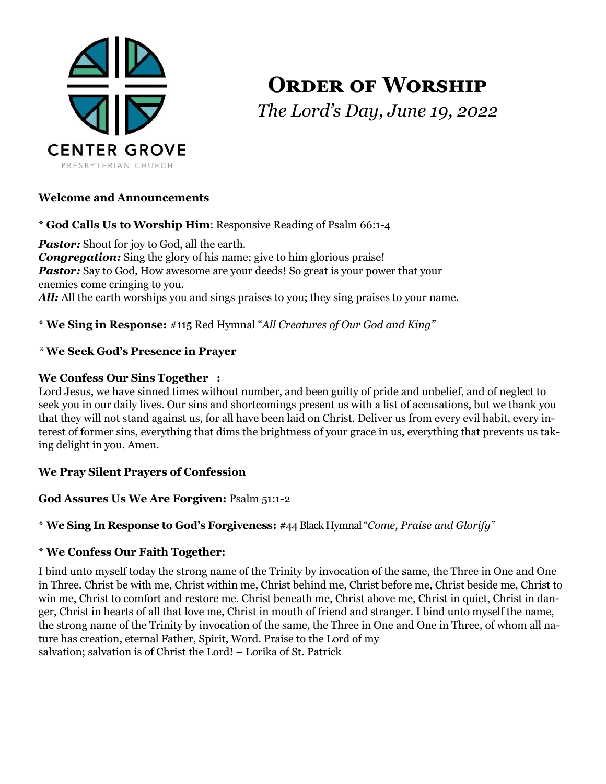

**ORDER OF WORSHIP** *The Lord's Day, June 19, 2022*

### **Welcome and Announcements**

\* **God Calls Us to Worship Him**: Responsive Reading of Psalm 66:1-4

*Pastor:* Shout for joy to God, all the earth. *Congregation:* Sing the glory of his name; give to him glorious praise! **Pastor:** Say to God, How awesome are your deeds! So great is your power that your enemies come cringing to you. *All:* All the earth worships you and sings praises to you; they sing praises to your name.

\* **We Sing in Response:** #115 Red Hymnal "*All Creatures of Our God and King"*

### *\** **We Seek God's Presence in Prayer**

### **We Confess Our Sins Together :**

Lord Jesus, we have sinned times without number, and been guilty of pride and unbelief, and of neglect to seek you in our daily lives. Our sins and shortcomings present us with a list of accusations, but we thank you that they will not stand against us, for all have been laid on Christ. Deliver us from every evil habit, every interest of former sins, everything that dims the brightness of your grace in us, everything that prevents us taking delight in you. Amen.

### **We Pray Silent Prayers of Confession**

### **God Assures Us We Are Forgiven:** Psalm 51:1-2

### \* **We Sing In Response to God's Forgiveness:** #44 Black Hymnal "*Come, Praise and Glorify"*

### \* **We Confess Our Faith Together:**

I bind unto myself today the strong name of the Trinity by invocation of the same, the Three in One and One in Three. Christ be with me, Christ within me, Christ behind me, Christ before me, Christ beside me, Christ to win me, Christ to comfort and restore me. Christ beneath me, Christ above me, Christ in quiet, Christ in danger, Christ in hearts of all that love me, Christ in mouth of friend and stranger. I bind unto myself the name, the strong name of the Trinity by invocation of the same, the Three in One and One in Three, of whom all nature has creation, eternal Father, Spirit, Word. Praise to the Lord of my salvation; salvation is of Christ the Lord! – Lorika of St. Patrick